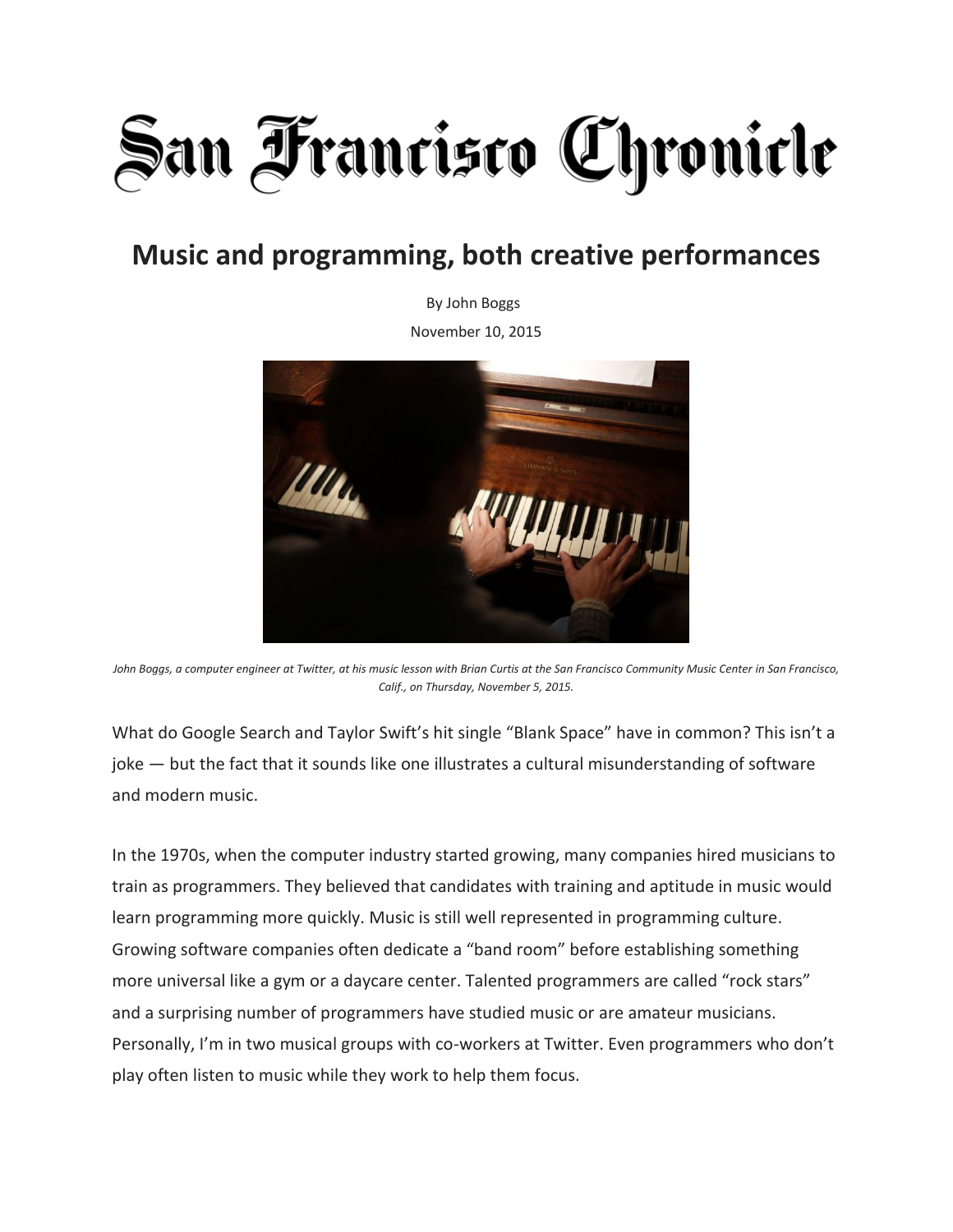## **San Francisco Chronicle**

## **Music and programming, both creative performances**

By John Boggs

November 10, 2015



John Boggs, a computer engineer at Twitter, at his music lesson with Brian Curtis at the San Francisco Community Music Center in San Francisco, *Calif., on Thursday, November 5, 2015.*

What do Google Search and Taylor Swift's hit single "Blank Space" have in common? This isn't a joke — but the fact that it sounds like one illustrates a cultural misunderstanding of software and modern music.

In the 1970s, when the computer industry started growing, many companies hired musicians to train as programmers. They believed that candidates with training and aptitude in music would learn programming more quickly. Music is still well represented in programming culture. Growing software companies often dedicate a "band room" before establishing something more universal like a gym or a daycare center. Talented programmers are called "rock stars" and a surprising number of programmers have studied music or are amateur musicians. Personally, I'm in two musical groups with co-workers at Twitter. Even programmers who don't play often listen to music while they work to help them focus.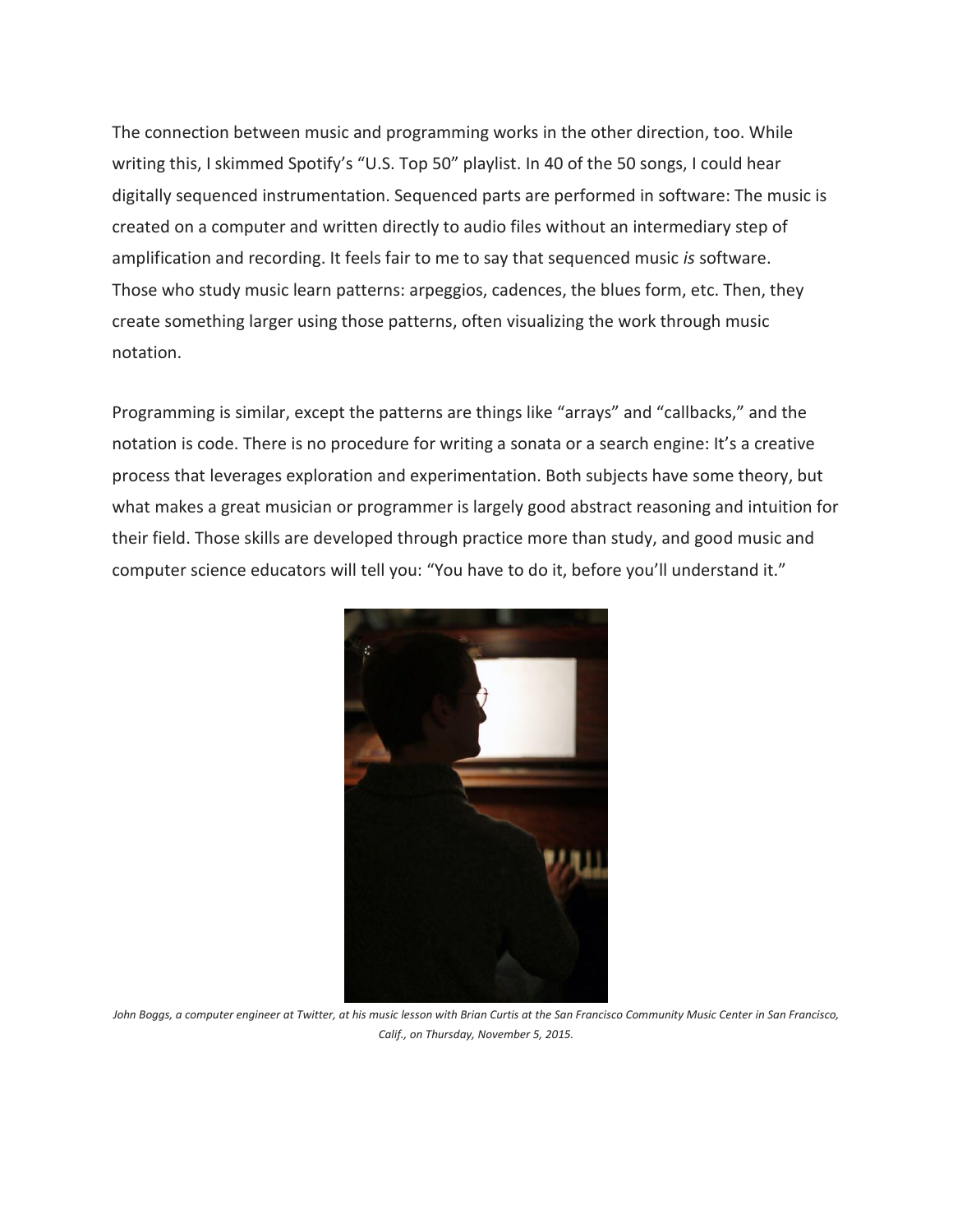The connection between music and programming works in the other direction, too. While writing this, I skimmed Spotify's "U.S. Top 50" playlist. In 40 of the 50 songs, I could hear digitally sequenced instrumentation. Sequenced parts are performed in software: The music is created on a computer and written directly to audio files without an intermediary step of amplification and recording. It feels fair to me to say that sequenced music *is* software. Those who study music learn patterns: arpeggios, cadences, the blues form, etc. Then, they create something larger using those patterns, often visualizing the work through music notation.

Programming is similar, except the patterns are things like "arrays" and "callbacks," and the notation is code. There is no procedure for writing a sonata or a search engine: It's a creative process that leverages exploration and experimentation. Both subjects have some theory, but what makes a great musician or programmer is largely good abstract reasoning and intuition for their field. Those skills are developed through practice more than study, and good music and computer science educators will tell you: "You have to do it, before you'll understand it."



John Boggs, a computer engineer at Twitter, at his music lesson with Brian Curtis at the San Francisco Community Music Center in San Francisco, *Calif., on Thursday, November 5, 2015.*